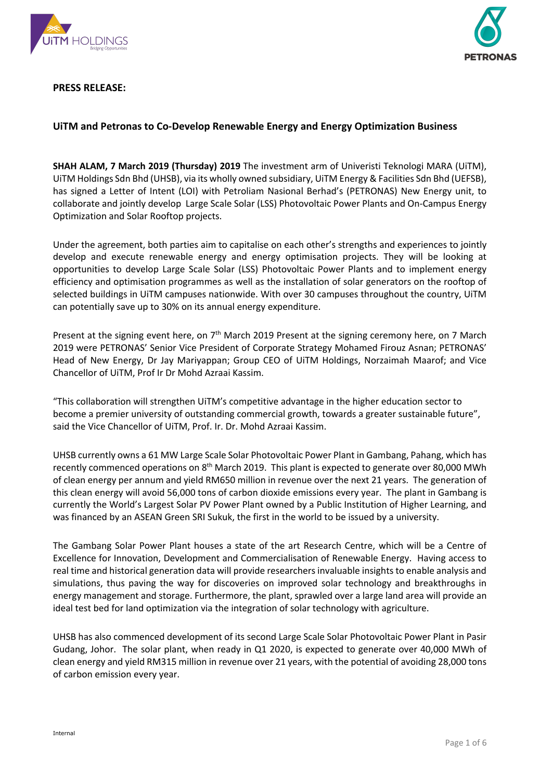



**PRESS RELEASE:**

# **UiTM and Petronas to Co-Develop Renewable Energy and Energy Optimization Business**

**SHAH ALAM, 7 March 2019 (Thursday) 2019** The investment arm of Univeristi Teknologi MARA (UiTM), UiTM Holdings Sdn Bhd (UHSB), via its wholly owned subsidiary, UiTM Energy & Facilities Sdn Bhd (UEFSB), has signed a Letter of Intent (LOI) with Petroliam Nasional Berhad's (PETRONAS) New Energy unit, to collaborate and jointly develop Large Scale Solar (LSS) Photovoltaic Power Plants and On-Campus Energy Optimization and Solar Rooftop projects.

Under the agreement, both parties aim to capitalise on each other's strengths and experiences to jointly develop and execute renewable energy and energy optimisation projects. They will be looking at opportunities to develop Large Scale Solar (LSS) Photovoltaic Power Plants and to implement energy efficiency and optimisation programmes as well as the installation of solar generators on the rooftop of selected buildings in UiTM campuses nationwide. With over 30 campuses throughout the country, UiTM can potentially save up to 30% on its annual energy expenditure.

Present at the signing event here, on  $7<sup>th</sup>$  March 2019 Present at the signing ceremony here, on 7 March 2019 were PETRONAS' Senior Vice President of Corporate Strategy Mohamed Firouz Asnan; PETRONAS' Head of New Energy, Dr Jay Mariyappan; Group CEO of UiTM Holdings, Norzaimah Maarof; and Vice Chancellor of UiTM, Prof Ir Dr Mohd Azraai Kassim.

"This collaboration will strengthen UiTM's competitive advantage in the higher education sector to become a premier university of outstanding commercial growth, towards a greater sustainable future", said the Vice Chancellor of UiTM, Prof. Ir. Dr. Mohd Azraai Kassim.

UHSB currently owns a 61 MW Large Scale Solar Photovoltaic Power Plant in Gambang, Pahang, which has recently commenced operations on 8<sup>th</sup> March 2019. This plant is expected to generate over 80,000 MWh of clean energy per annum and yield RM650 million in revenue over the next 21 years. The generation of this clean energy will avoid 56,000 tons of carbon dioxide emissions every year. The plant in Gambang is currently the World's Largest Solar PV Power Plant owned by a Public Institution of Higher Learning, and was financed by an ASEAN Green SRI Sukuk, the first in the world to be issued by a university.

The Gambang Solar Power Plant houses a state of the art Research Centre, which will be a Centre of Excellence for Innovation, Development and Commercialisation of Renewable Energy. Having access to real time and historical generation data will provide researchers invaluable insights to enable analysis and simulations, thus paving the way for discoveries on improved solar technology and breakthroughs in energy management and storage. Furthermore, the plant, sprawled over a large land area will provide an ideal test bed for land optimization via the integration of solar technology with agriculture.

UHSB has also commenced development of its second Large Scale Solar Photovoltaic Power Plant in Pasir Gudang, Johor. The solar plant, when ready in Q1 2020, is expected to generate over 40,000 MWh of clean energy and yield RM315 million in revenue over 21 years, with the potential of avoiding 28,000 tons of carbon emission every year.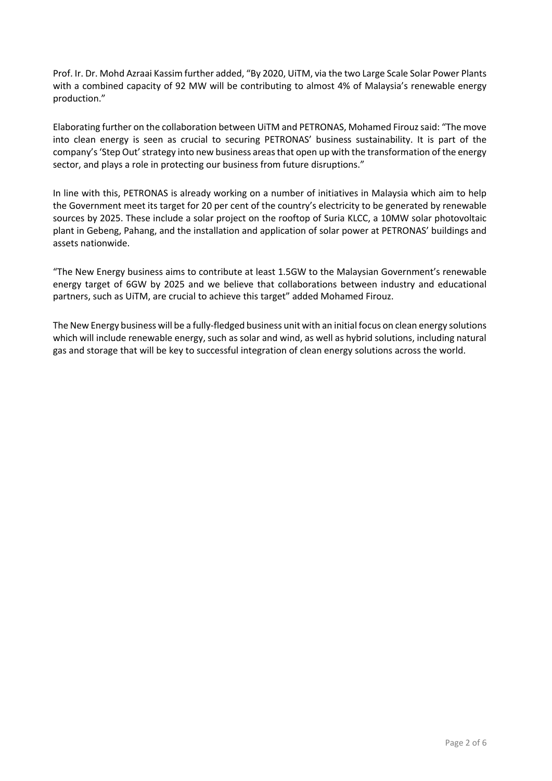Prof. Ir. Dr. Mohd Azraai Kassim further added, "By 2020, UiTM, via the two Large Scale Solar Power Plants with a combined capacity of 92 MW will be contributing to almost 4% of Malaysia's renewable energy production."

Elaborating further on the collaboration between UiTM and PETRONAS, Mohamed Firouz said: "The move into clean energy is seen as crucial to securing PETRONAS' business sustainability. It is part of the company's 'Step Out' strategy into new business areas that open up with the transformation of the energy sector, and plays a role in protecting our business from future disruptions."

In line with this, PETRONAS is already working on a number of initiatives in Malaysia which aim to help the Government meet its target for 20 per cent of the country's electricity to be generated by renewable sources by 2025. These include a solar project on the rooftop of Suria KLCC, a 10MW solar photovoltaic plant in Gebeng, Pahang, and the installation and application of solar power at PETRONAS' buildings and assets nationwide.

"The New Energy business aims to contribute at least 1.5GW to the Malaysian Government's renewable energy target of 6GW by 2025 and we believe that collaborations between industry and educational partners, such as UiTM, are crucial to achieve this target" added Mohamed Firouz.

The New Energy business will be a fully-fledged business unit with an initial focus on clean energy solutions which will include renewable energy, such as solar and wind, as well as hybrid solutions, including natural gas and storage that will be key to successful integration of clean energy solutions across the world.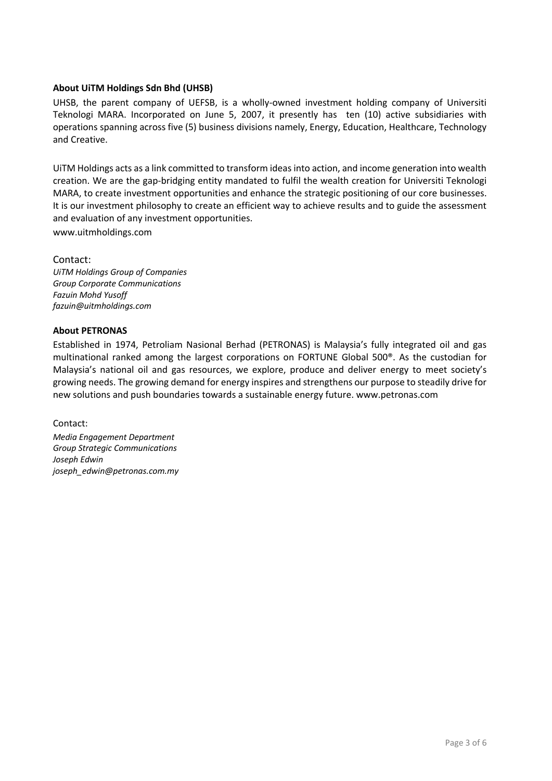## **About UiTM Holdings Sdn Bhd (UHSB)**

UHSB, the parent company of UEFSB, is a wholly-owned investment holding company of Universiti Teknologi MARA. Incorporated on June 5, 2007, it presently has ten (10) active subsidiaries with operations spanning across five (5) business divisions namely, Energy, Education, Healthcare, Technology and Creative.

UiTM Holdings acts as a link committed to transform ideas into action, and income generation into wealth creation. We are the gap-bridging entity mandated to fulfil the wealth creation for Universiti Teknologi MARA, to create investment opportunities and enhance the strategic positioning of our core businesses. It is our investment philosophy to create an efficient way to achieve results and to guide the assessment and evaluation of any investment opportunities.

www.uitmholdings.com

Contact:

*UiTM Holdings Group of Companies Group Corporate Communications Fazuin Mohd Yusoff fazuin@uitmholdings.com*

## **About PETRONAS**

Established in 1974, Petroliam Nasional Berhad (PETRONAS) is Malaysia's fully integrated oil and gas multinational ranked among the largest corporations on FORTUNE Global 500®. As the custodian for Malaysia's national oil and gas resources, we explore, produce and deliver energy to meet society's growing needs. The growing demand for energy inspires and strengthens our purpose to steadily drive for new solutions and push boundaries towards a sustainable energy future. www.petronas.com

Contact:

*Media Engagement Department Group Strategic Communications Joseph Edwin joseph\_edwin@petronas.com.my*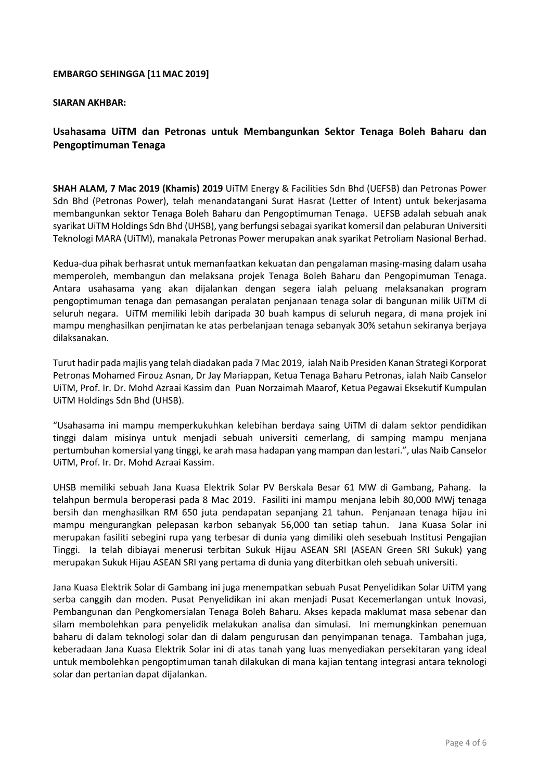## **EMBARGO SEHINGGA [11MAC 2019]**

#### **SIARAN AKHBAR:**

# **Usahasama UiTM dan Petronas untuk Membangunkan Sektor Tenaga Boleh Baharu dan Pengoptimuman Tenaga**

**SHAH ALAM, 7 Mac 2019 (Khamis) 2019** UiTM Energy & Facilities Sdn Bhd (UEFSB) dan Petronas Power Sdn Bhd (Petronas Power), telah menandatangani Surat Hasrat (Letter of Intent) untuk bekerjasama membangunkan sektor Tenaga Boleh Baharu dan Pengoptimuman Tenaga. UEFSB adalah sebuah anak syarikat UiTM Holdings Sdn Bhd (UHSB), yang berfungsi sebagai syarikat komersil dan pelaburan Universiti Teknologi MARA (UiTM), manakala Petronas Power merupakan anak syarikat Petroliam Nasional Berhad.

Kedua-dua pihak berhasrat untuk memanfaatkan kekuatan dan pengalaman masing-masing dalam usaha memperoleh, membangun dan melaksana projek Tenaga Boleh Baharu dan Pengopimuman Tenaga. Antara usahasama yang akan dijalankan dengan segera ialah peluang melaksanakan program pengoptimuman tenaga dan pemasangan peralatan penjanaan tenaga solar di bangunan milik UiTM di seluruh negara. UiTM memiliki lebih daripada 30 buah kampus di seluruh negara, di mana projek ini mampu menghasilkan penjimatan ke atas perbelanjaan tenaga sebanyak 30% setahun sekiranya berjaya dilaksanakan.

Turut hadir pada majlis yang telah diadakan pada 7 Mac 2019, ialah Naib Presiden Kanan Strategi Korporat Petronas Mohamed Firouz Asnan, Dr Jay Mariappan, Ketua Tenaga Baharu Petronas, ialah Naib Canselor UiTM, Prof. Ir. Dr. Mohd Azraai Kassim dan Puan Norzaimah Maarof, Ketua Pegawai Eksekutif Kumpulan UiTM Holdings Sdn Bhd (UHSB).

"Usahasama ini mampu memperkukuhkan kelebihan berdaya saing UiTM di dalam sektor pendidikan tinggi dalam misinya untuk menjadi sebuah universiti cemerlang, di samping mampu menjana pertumbuhan komersial yang tinggi, ke arah masa hadapan yang mampan dan lestari.", ulas Naib Canselor UiTM, Prof. Ir. Dr. Mohd Azraai Kassim.

UHSB memiliki sebuah Jana Kuasa Elektrik Solar PV Berskala Besar 61 MW di Gambang, Pahang. Ia telahpun bermula beroperasi pada 8 Mac 2019. Fasiliti ini mampu menjana lebih 80,000 MWj tenaga bersih dan menghasilkan RM 650 juta pendapatan sepanjang 21 tahun. Penjanaan tenaga hijau ini mampu mengurangkan pelepasan karbon sebanyak 56,000 tan setiap tahun. Jana Kuasa Solar ini merupakan fasiliti sebegini rupa yang terbesar di dunia yang dimiliki oleh sesebuah Institusi Pengajian Tinggi. Ia telah dibiayai menerusi terbitan Sukuk Hijau ASEAN SRI (ASEAN Green SRI Sukuk) yang merupakan Sukuk Hijau ASEAN SRI yang pertama di dunia yang diterbitkan oleh sebuah universiti.

Jana Kuasa Elektrik Solar di Gambang ini juga menempatkan sebuah Pusat Penyelidikan Solar UiTM yang serba canggih dan moden. Pusat Penyelidikan ini akan menjadi Pusat Kecemerlangan untuk Inovasi, Pembangunan dan Pengkomersialan Tenaga Boleh Baharu. Akses kepada maklumat masa sebenar dan silam membolehkan para penyelidik melakukan analisa dan simulasi. Ini memungkinkan penemuan baharu di dalam teknologi solar dan di dalam pengurusan dan penyimpanan tenaga. Tambahan juga, keberadaan Jana Kuasa Elektrik Solar ini di atas tanah yang luas menyediakan persekitaran yang ideal untuk membolehkan pengoptimuman tanah dilakukan di mana kajian tentang integrasi antara teknologi solar dan pertanian dapat dijalankan.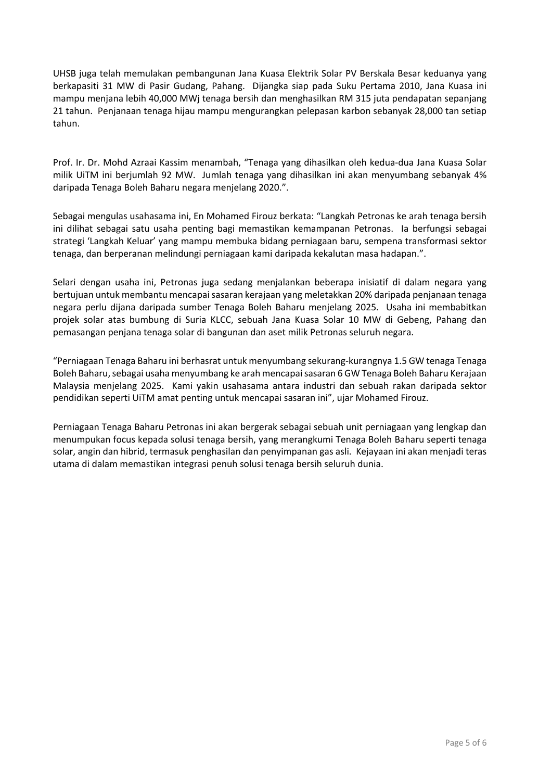UHSB juga telah memulakan pembangunan Jana Kuasa Elektrik Solar PV Berskala Besar keduanya yang berkapasiti 31 MW di Pasir Gudang, Pahang. Dijangka siap pada Suku Pertama 2010, Jana Kuasa ini mampu menjana lebih 40,000 MWj tenaga bersih dan menghasilkan RM 315 juta pendapatan sepanjang 21 tahun. Penjanaan tenaga hijau mampu mengurangkan pelepasan karbon sebanyak 28,000 tan setiap tahun.

Prof. Ir. Dr. Mohd Azraai Kassim menambah, "Tenaga yang dihasilkan oleh kedua-dua Jana Kuasa Solar milik UiTM ini berjumlah 92 MW. Jumlah tenaga yang dihasilkan ini akan menyumbang sebanyak 4% daripada Tenaga Boleh Baharu negara menjelang 2020.".

Sebagai mengulas usahasama ini, En Mohamed Firouz berkata: "Langkah Petronas ke arah tenaga bersih ini dilihat sebagai satu usaha penting bagi memastikan kemampanan Petronas. Ia berfungsi sebagai strategi 'Langkah Keluar' yang mampu membuka bidang perniagaan baru, sempena transformasi sektor tenaga, dan berperanan melindungi perniagaan kami daripada kekalutan masa hadapan.".

Selari dengan usaha ini, Petronas juga sedang menjalankan beberapa inisiatif di dalam negara yang bertujuan untuk membantu mencapai sasaran kerajaan yang meletakkan 20% daripada penjanaan tenaga negara perlu dijana daripada sumber Tenaga Boleh Baharu menjelang 2025. Usaha ini membabitkan projek solar atas bumbung di Suria KLCC, sebuah Jana Kuasa Solar 10 MW di Gebeng, Pahang dan pemasangan penjana tenaga solar di bangunan dan aset milik Petronas seluruh negara.

"Perniagaan Tenaga Baharu ini berhasrat untuk menyumbang sekurang-kurangnya 1.5 GW tenaga Tenaga Boleh Baharu, sebagai usaha menyumbang ke arah mencapai sasaran 6 GW Tenaga Boleh Baharu Kerajaan Malaysia menjelang 2025. Kami yakin usahasama antara industri dan sebuah rakan daripada sektor pendidikan seperti UiTM amat penting untuk mencapai sasaran ini", ujar Mohamed Firouz.

Perniagaan Tenaga Baharu Petronas ini akan bergerak sebagai sebuah unit perniagaan yang lengkap dan menumpukan focus kepada solusi tenaga bersih, yang merangkumi Tenaga Boleh Baharu seperti tenaga solar, angin dan hibrid, termasuk penghasilan dan penyimpanan gas asli. Kejayaan ini akan menjadi teras utama di dalam memastikan integrasi penuh solusi tenaga bersih seluruh dunia.